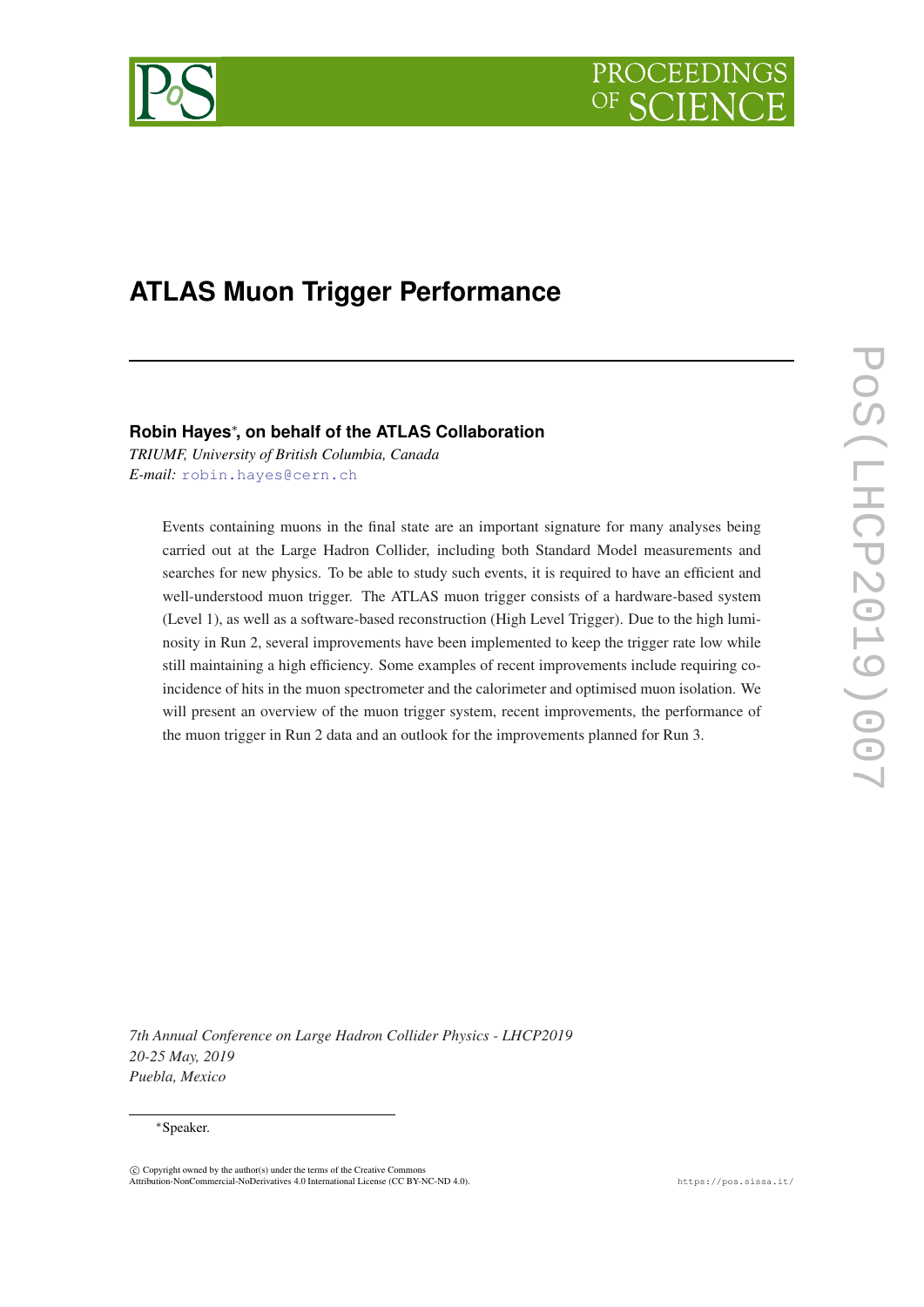



# **ATLAS Muon Trigger Performance**

### **Robin Hayes**<sup>∗</sup> **, on behalf of the ATLAS Collaboration**

*TRIUMF, University of British Columbia, Canada E-mail:* [robin.hayes@cern.ch](mailto:robin.hayes@cern.ch)

Events containing muons in the final state are an important signature for many analyses being carried out at the Large Hadron Collider, including both Standard Model measurements and searches for new physics. To be able to study such events, it is required to have an efficient and well-understood muon trigger. The ATLAS muon trigger consists of a hardware-based system (Level 1), as well as a software-based reconstruction (High Level Trigger). Due to the high luminosity in Run 2, several improvements have been implemented to keep the trigger rate low while still maintaining a high efficiency. Some examples of recent improvements include requiring coincidence of hits in the muon spectrometer and the calorimeter and optimised muon isolation. We will present an overview of the muon trigger system, recent improvements, the performance of the muon trigger in Run 2 data and an outlook for the improvements planned for Run 3.

*7th Annual Conference on Large Hadron Collider Physics - LHCP2019 20-25 May, 2019 Puebla, Mexico*

#### <sup>∗</sup>Speaker.

 $\overline{c}$  Copyright owned by the author(s) under the terms of the Creative Common Attribution-NonCommercial-NoDerivatives 4.0 International License (CC BY-NC-ND 4.0). https://pos.sissa.it/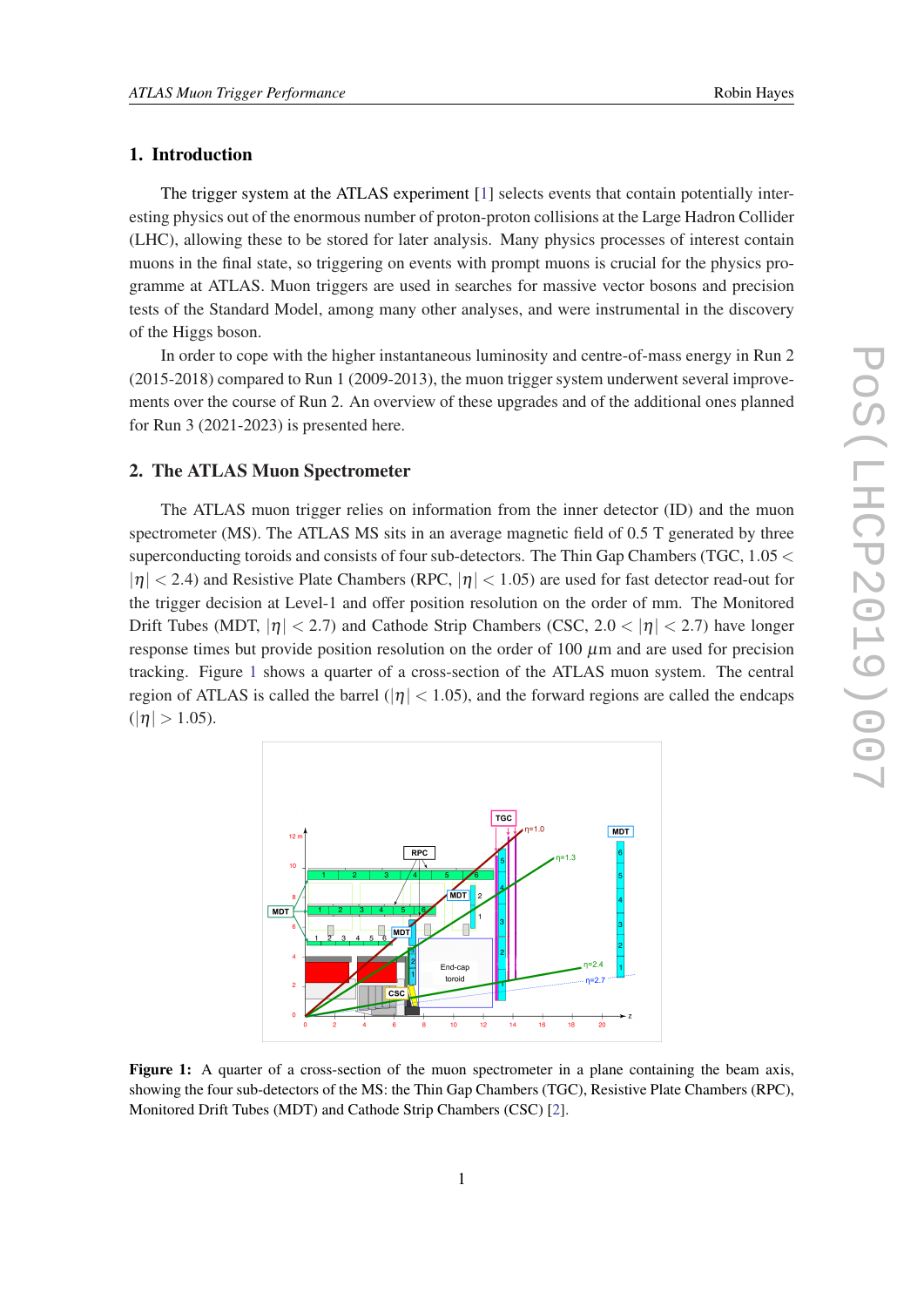#### 1. Introduction

The trigger system at the ATLAS experiment [\[1\]](#page-7-0) selects events that contain potentially interesting physics out of the enormous number of proton-proton collisions at the Large Hadron Collider (LHC), allowing these to be stored for later analysis. Many physics processes of interest contain muons in the final state, so triggering on events with prompt muons is crucial for the physics programme at ATLAS. Muon triggers are used in searches for massive vector bosons and precision tests of the Standard Model, among many other analyses, and were instrumental in the discovery of the Higgs boson.

In order to cope with the higher instantaneous luminosity and centre-of-mass energy in Run 2 (2015-2018) compared to Run 1 (2009-2013), the muon trigger system underwent several improvements over the course of Run 2. An overview of these upgrades and of the additional ones planned for Run 3 (2021-2023) is presented here.

#### 2. The ATLAS Muon Spectrometer

The ATLAS muon trigger relies on information from the inner detector (ID) and the muon spectrometer (MS). The ATLAS MS sits in an average magnetic field of 0.5 T generated by three superconducting toroids and consists of four sub-detectors. The Thin Gap Chambers (TGC,  $1.05 <$  $|\eta|$  < 2.4) and Resistive Plate Chambers (RPC,  $|\eta|$  < 1.05) are used for fast detector read-out for the trigger decision at Level-1 and offer position resolution on the order of mm. The Monitored Drift Tubes (MDT,  $|\eta| < 2.7$ ) and Cathode Strip Chambers (CSC, 2.0  $< |\eta| < 2.7$ ) have longer response times but provide position resolution on the order of  $100 \mu m$  and are used for precision tracking. Figure 1 shows a quarter of a cross-section of the ATLAS muon system. The central region of ATLAS is called the barrel ( $|\eta| < 1.05$ ), and the forward regions are called the endcaps  $(|\eta| > 1.05)$ .



Figure 1: A quarter of a cross-section of the muon spectrometer in a plane containing the beam axis, showing the four sub-detectors of the MS: the Thin Gap Chambers (TGC), Resistive Plate Chambers (RPC), Monitored Drift Tubes (MDT) and Cathode Strip Chambers (CSC) [\[2\]](#page-7-0).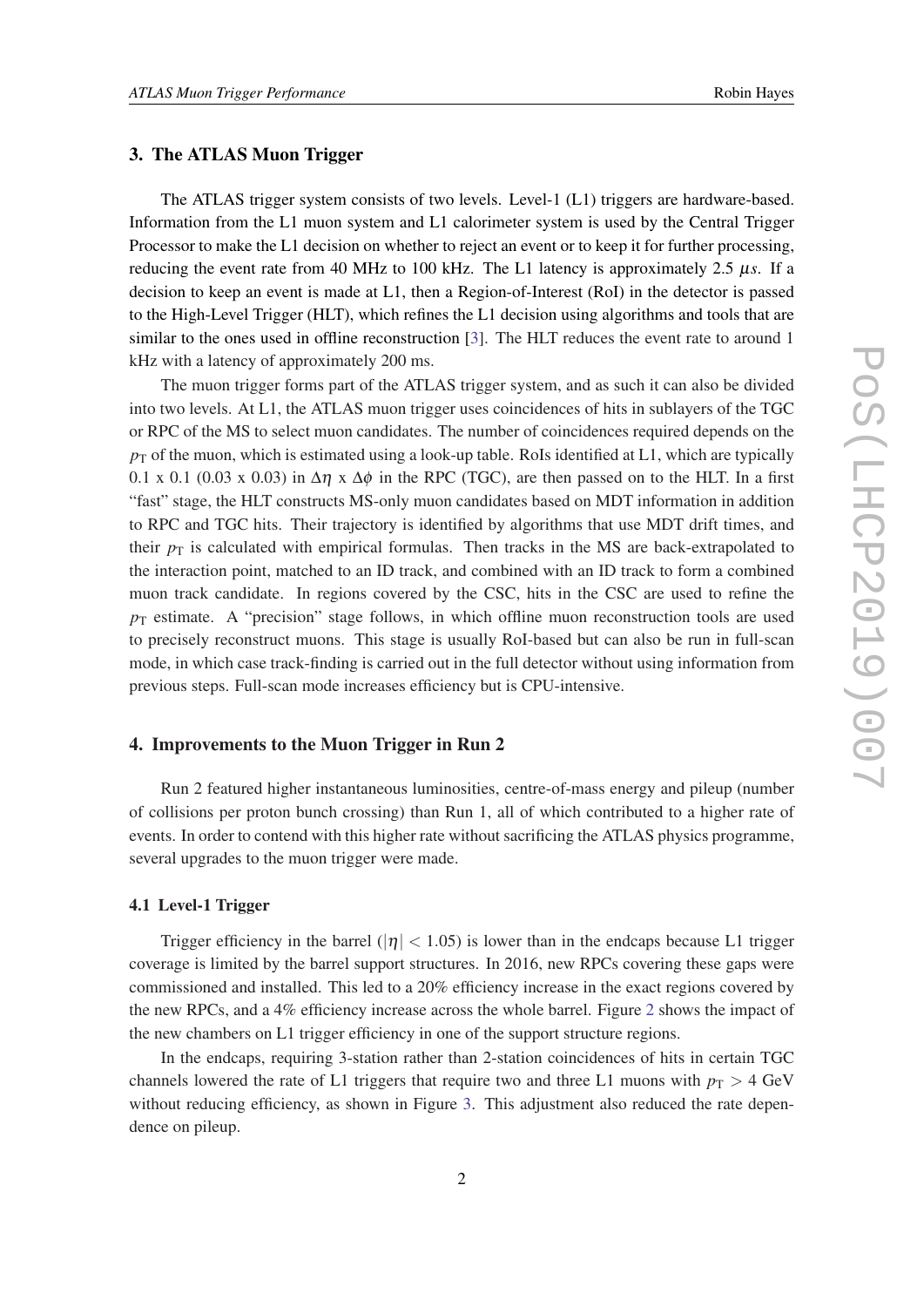#### 3. The ATLAS Muon Trigger

The ATLAS trigger system consists of two levels. Level-1 (L1) triggers are hardware-based. Information from the L1 muon system and L1 calorimeter system is used by the Central Trigger Processor to make the L1 decision on whether to reject an event or to keep it for further processing, reducing the event rate from 40 MHz to 100 kHz. The L1 latency is approximately 2.5 µ*s*. If a decision to keep an event is made at L1, then a Region-of-Interest (RoI) in the detector is passed to the High-Level Trigger (HLT), which refines the L1 decision using algorithms and tools that are similar to the ones used in offline reconstruction [\[3\]](#page-7-0). The HLT reduces the event rate to around 1 kHz with a latency of approximately 200 ms.

The muon trigger forms part of the ATLAS trigger system, and as such it can also be divided into two levels. At L1, the ATLAS muon trigger uses coincidences of hits in sublayers of the TGC or RPC of the MS to select muon candidates. The number of coincidences required depends on the  $p<sub>T</sub>$  of the muon, which is estimated using a look-up table. RoIs identified at L1, which are typically 0.1 x 0.1 (0.03 x 0.03) in  $\Delta \eta$  x  $\Delta \phi$  in the RPC (TGC), are then passed on to the HLT. In a first "fast" stage, the HLT constructs MS-only muon candidates based on MDT information in addition to RPC and TGC hits. Their trajectory is identified by algorithms that use MDT drift times, and their  $p<sub>T</sub>$  is calculated with empirical formulas. Then tracks in the MS are back-extrapolated to the interaction point, matched to an ID track, and combined with an ID track to form a combined muon track candidate. In regions covered by the CSC, hits in the CSC are used to refine the  $p_T$  estimate. A "precision" stage follows, in which offline muon reconstruction tools are used to precisely reconstruct muons. This stage is usually RoI-based but can also be run in full-scan mode, in which case track-finding is carried out in the full detector without using information from previous steps. Full-scan mode increases efficiency but is CPU-intensive.

#### 4. Improvements to the Muon Trigger in Run 2

Run 2 featured higher instantaneous luminosities, centre-of-mass energy and pileup (number of collisions per proton bunch crossing) than Run 1, all of which contributed to a higher rate of events. In order to contend with this higher rate without sacrificing the ATLAS physics programme, several upgrades to the muon trigger were made.

#### 4.1 Level-1 Trigger

Trigger efficiency in the barrel ( $|\eta| < 1.05$ ) is lower than in the endcaps because L1 trigger coverage is limited by the barrel support structures. In 2016, new RPCs covering these gaps were commissioned and installed. This led to a 20% efficiency increase in the exact regions covered by the new RPCs, and a 4% efficiency increase across the whole barrel. Figure [2](#page-3-0) shows the impact of the new chambers on L1 trigger efficiency in one of the support structure regions.

In the endcaps, requiring 3-station rather than 2-station coincidences of hits in certain TGC channels lowered the rate of L1 triggers that require two and three L1 muons with  $p_T > 4$  GeV without reducing efficiency, as shown in Figure [3.](#page-3-0) This adjustment also reduced the rate dependence on pileup.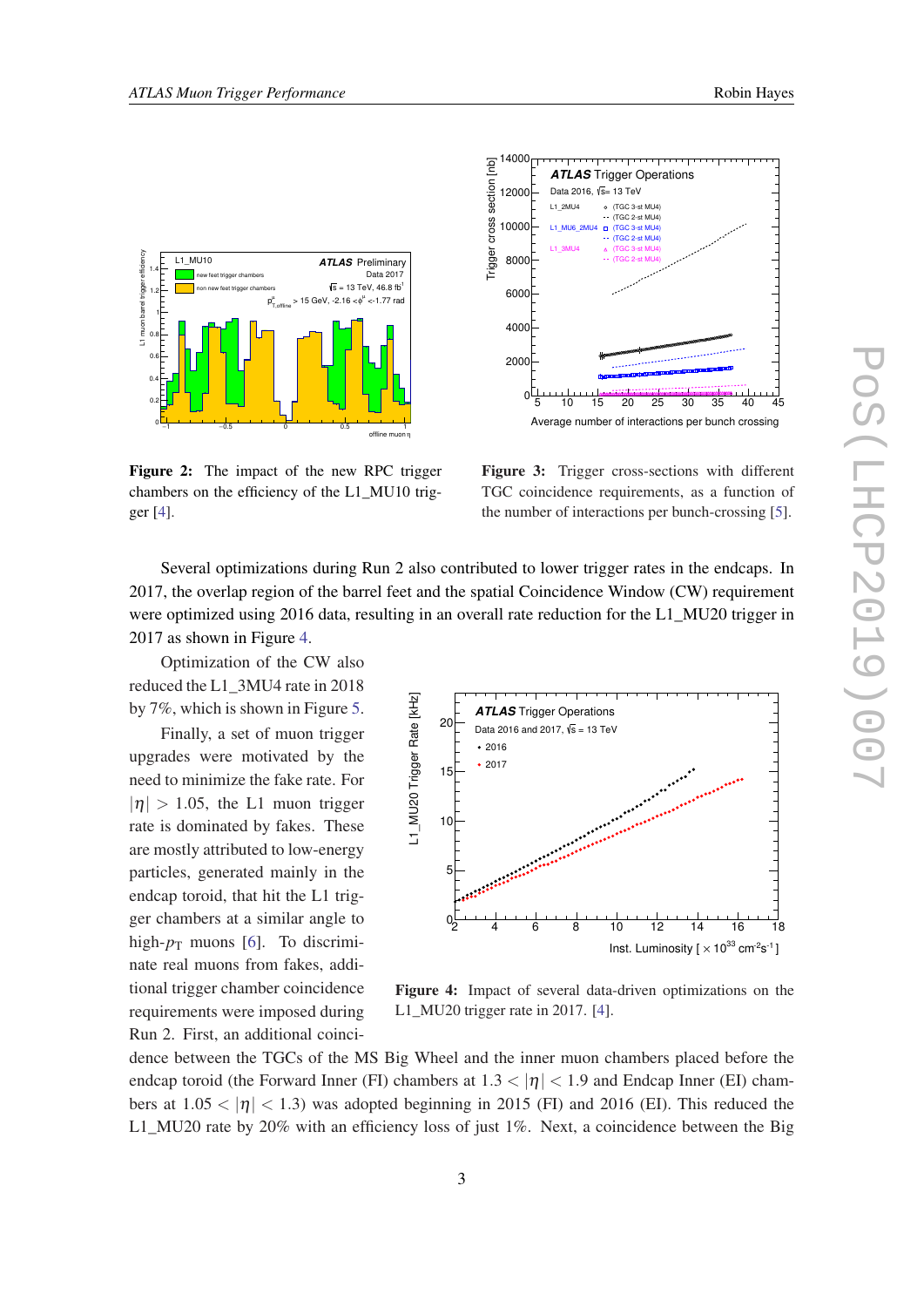<span id="page-3-0"></span>

Figure 2: The impact of the new RPC trigger chambers on the efficiency of the L1\_MU10 trigger [[4\]](#page-7-0).



Figure 3: Trigger cross-sections with different TGC coincidence requirements, as a function of the number of interactions per bunch-crossing [[5\]](#page-7-0).

Several optimizations during Run 2 also contributed to lower trigger rates in the endcaps. In 2017, the overlap region of the barrel feet and the spatial Coincidence Window (CW) requirement were optimized using 2016 data, resulting in an overall rate reduction for the L1\_MU20 trigger in 2017 as shown in Figure 4.

Optimization of the CW also reduced the L1\_3MU4 rate in 2018 by 7%, which is shown in Figure [5](#page-4-0).

Finally, a set of muon trigger upgrades were motivated by the need to minimize the fake rate. For  $|\eta| > 1.05$ , the L1 muon trigger rate is dominated by fakes. These are mostly attributed to low-energy particles, generated mainly in the endcap toroid, that hit the L1 trigger chambers at a similar angle to high- $p_T$  muons [[6](#page-7-0)]. To discriminate real muons from fakes, additional trigger chamber coincidence requirements were imposed during Run 2. First, an additional coinci-



Figure 4: Impact of several data-driven optimizations on the L1\_MU20 trigger rate in 2017. [[4\]](#page-7-0).

dence between the TGCs of the MS Big Wheel and the inner muon chambers placed before the endcap toroid (the Forward Inner (FI) chambers at  $1.3 < |\eta| < 1.9$  and Endcap Inner (EI) chambers at  $1.05 < |\eta| < 1.3$ ) was adopted beginning in 2015 (FI) and 2016 (EI). This reduced the L1\_MU20 rate by 20% with an efficiency loss of just 1%. Next, a coincidence between the Big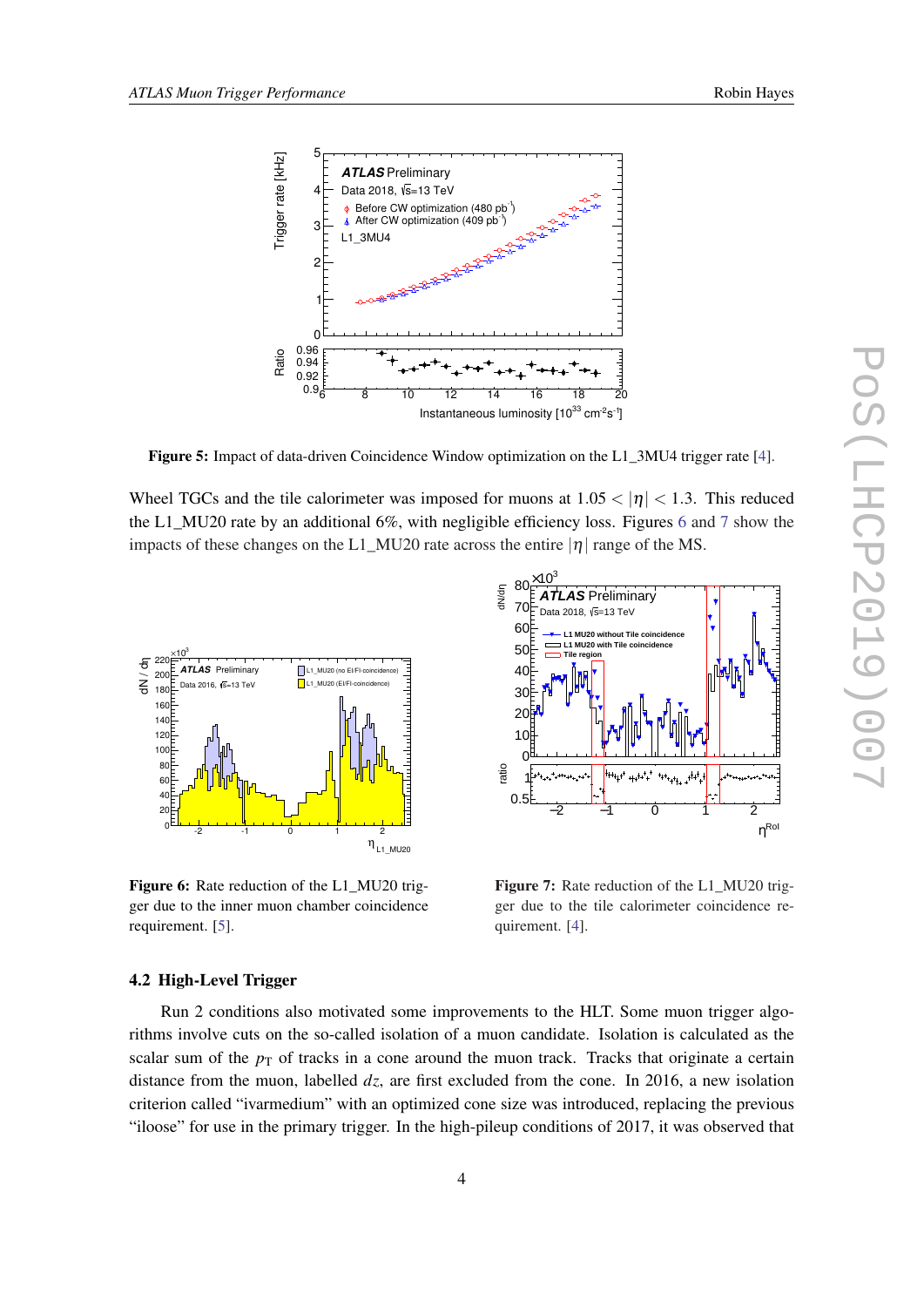<span id="page-4-0"></span>

Figure 5: Impact of data-driven Coincidence Window optimization on the L1\_3MU4 trigger rate [[4\]](#page-7-0).

Wheel TGCs and the tile calorimeter was imposed for muons at  $1.05 < |\eta| < 1.3$ . This reduced the L1 MU20 rate by an additional 6%, with negligible efficiency loss. Figures 6 and 7 show the impacts of these changes on the L1\_MU20 rate across the entire  $|\eta|$  range of the MS.



Figure 6: Rate reduction of the L1\_MU20 trigger due to the inner muon chamber coincidence requirement. [\[5](#page-7-0)].



Figure 7: Rate reduction of the L1\_MU20 trigger due to the tile calorimeter coincidence requirement. [\[4](#page-7-0)].

#### 4.2 High-Level Trigger

Run 2 conditions also motivated some improvements to the HLT. Some muon trigger algorithms involve cuts on the so-called isolation of a muon candidate. Isolation is calculated as the scalar sum of the  $p<sub>T</sub>$  of tracks in a cone around the muon track. Tracks that originate a certain distance from the muon, labelled *dz*, are first excluded from the cone. In 2016, a new isolation criterion called "ivarmedium" with an optimized cone size was introduced, replacing the previous "iloose" for use in the primary trigger. In the high-pileup conditions of 2017, it was observed that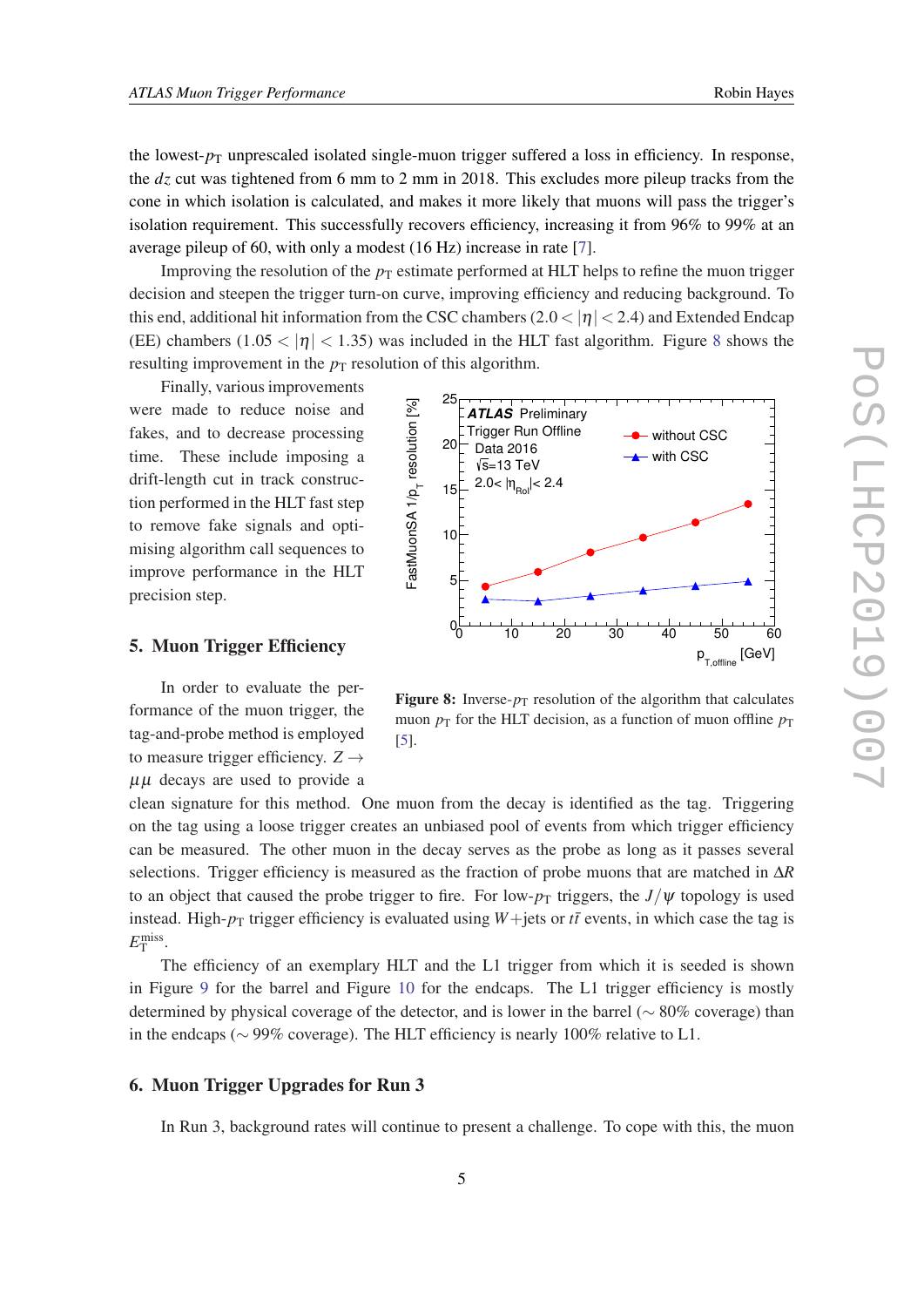the lowest- $p<sub>T</sub>$  unprescaled isolated single-muon trigger suffered a loss in efficiency. In response, the *dz* cut was tightened from 6 mm to 2 mm in 2018. This excludes more pileup tracks from the cone in which isolation is calculated, and makes it more likely that muons will pass the trigger's isolation requirement. This successfully recovers efficiency, increasing it from 96% to 99% at an average pileup of 60, with only a modest (16 Hz) increase in rate [[7](#page-7-0)].

Improving the resolution of the  $p<sub>T</sub>$  estimate performed at HLT helps to refine the muon trigger decision and steepen the trigger turn-on curve, improving efficiency and reducing background. To this end, additional hit information from the CSC chambers (2.0  $<$  | $\eta$  |  $<$  2.4) and Extended Endcap (EE) chambers (1.05  $<$  |n|  $<$  1.35) was included in the HLT fast algorithm. Figure 8 shows the resulting improvement in the  $p<sub>T</sub>$  resolution of this algorithm.

25

**ATLAS** Preliminary

Finally, various improvements were made to reduce noise and fakes, and to decrease processing time. These include imposing a drift-length cut in track construction performed in the HLT fast step to remove fake signals and optimising algorithm call sequences to improve performance in the HLT precision step.

## $p_{T,\text{offline}}$  [GeV] 0 10 20 30 40 50 60 FastMuonSA 1/p<sub>T</sub> resolution [%]  $0_0$ 5 10 15 20 Trigger Run Offline  $\leftarrow$  without CSC<br>
Data 2016 with CSC  $\sqrt{s}$ =13 TeV 2.0<  $|\eta_{_{\rm{Rol}}}|$ < 2.4

#### 5. Muon Trigger Efficiency

In order to evaluate the performance of the muon trigger, the tag-and-probe method is employed to measure trigger efficiency.  $Z \rightarrow$ µµ decays are used to provide a

muon  $p_T$  for the HLT decision, as a function of muon offline  $p_T$ [\[5](#page-7-0)].

Figure 8: Inverse- $p_T$  resolution of the algorithm that calculates

clean signature for this method. One muon from the decay is identified as the tag. Triggering on the tag using a loose trigger creates an unbiased pool of events from which trigger efficiency can be measured. The other muon in the decay serves as the probe as long as it passes several selections. Trigger efficiency is measured as the fraction of probe muons that are matched in ∆*R* to an object that caused the probe trigger to fire. For low- $p_T$  triggers, the *J*/ $\psi$  topology is used instead. High- $p_T$  trigger efficiency is evaluated using *W*+jets or *tt* events, in which case the tag is  $E_{\rm T}^{\rm miss}.$ 

The efficiency of an exemplary HLT and the L1 trigger from which it is seeded is shown in Figure [9](#page-6-0) for the barrel and Figure [10](#page-6-0) for the endcaps. The L1 trigger efficiency is mostly determined by physical coverage of the detector, and is lower in the barrel (∼ 80% coverage) than in the endcaps (∼ 99% coverage). The HLT efficiency is nearly 100% relative to L1.

#### 6. Muon Trigger Upgrades for Run 3

In Run 3, background rates will continue to present a challenge. To cope with this, the muon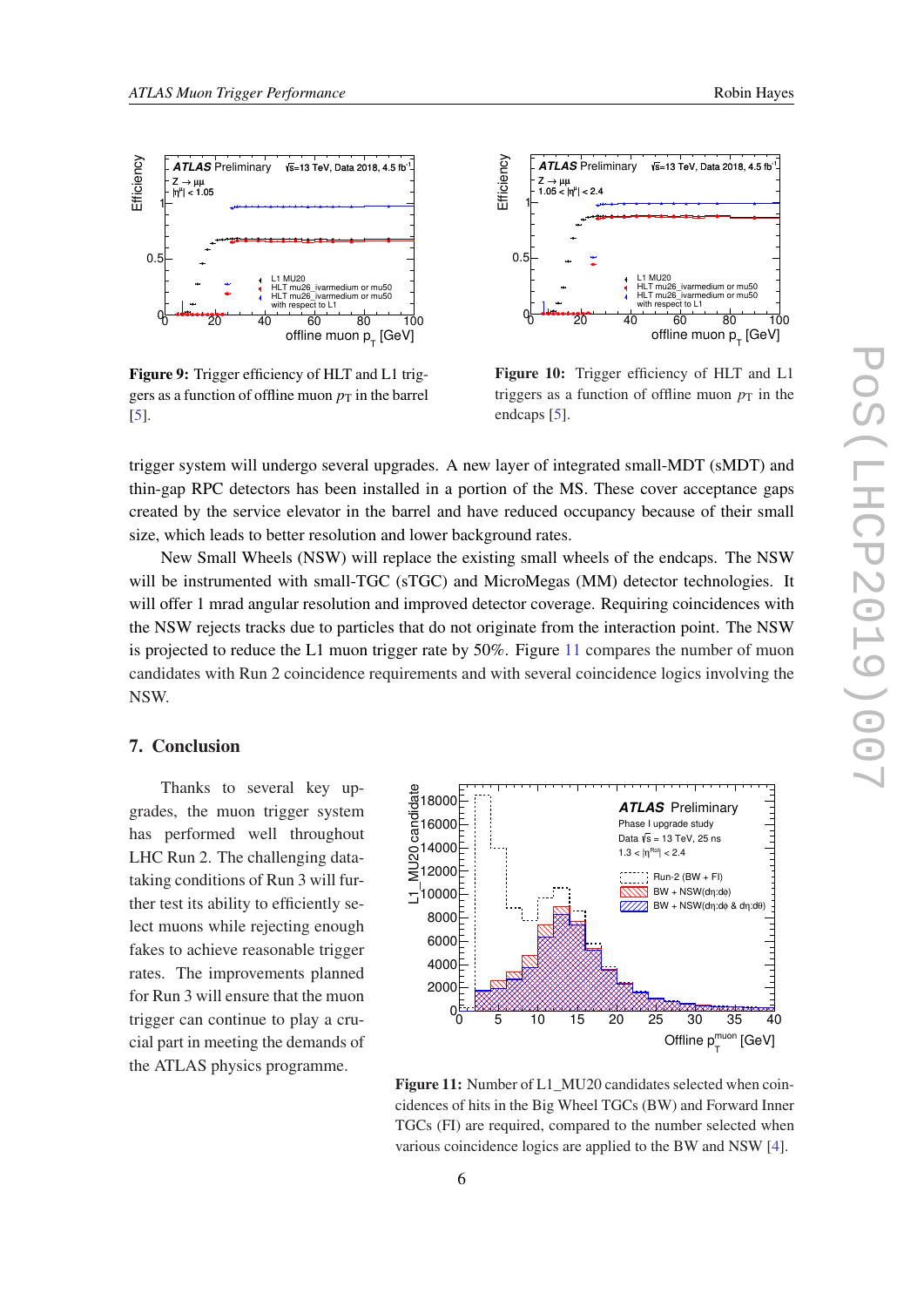<span id="page-6-0"></span>

Figure 9: Trigger efficiency of HLT and L1 triggers as a function of offline muon  $p<sub>T</sub>$  in the barrel [[5\]](#page-7-0).



Figure 10: Trigger efficiency of HLT and L1 triggers as a function of offline muon  $p<sub>T</sub>$  in the endcaps [[5\]](#page-7-0).

trigger system will undergo several upgrades. A new layer of integrated small-MDT (sMDT) and thin-gap RPC detectors has been installed in a portion of the MS. These cover acceptance gaps created by the service elevator in the barrel and have reduced occupancy because of their small size, which leads to better resolution and lower background rates.

New Small Wheels (NSW) will replace the existing small wheels of the endcaps. The NSW will be instrumented with small-TGC (sTGC) and MicroMegas (MM) detector technologies. It will offer 1 mrad angular resolution and improved detector coverage. Requiring coincidences with the NSW rejects tracks due to particles that do not originate from the interaction point. The NSW is projected to reduce the L1 muon trigger rate by 50%. Figure 11 compares the number of muon candidates with Run 2 coincidence requirements and with several coincidence logics involving the NSW.

#### 7. Conclusion

Thanks to several key upgrades, the muon trigger system has performed well throughout LHC Run 2. The challenging datataking conditions of Run 3 will further test its ability to efficiently select muons while rejecting enough fakes to achieve reasonable trigger rates. The improvements planned for Run 3 will ensure that the muon trigger can continue to play a crucial part in meeting the demands of the ATLAS physics programme.



Figure 11: Number of L1\_MU20 candidates selected when coincidences of hits in the Big Wheel TGCs (BW) and Forward Inner TGCs (FI) are required, compared to the number selected when various coincidence logics are applied to the BW and NSW [\[4](#page-7-0)].